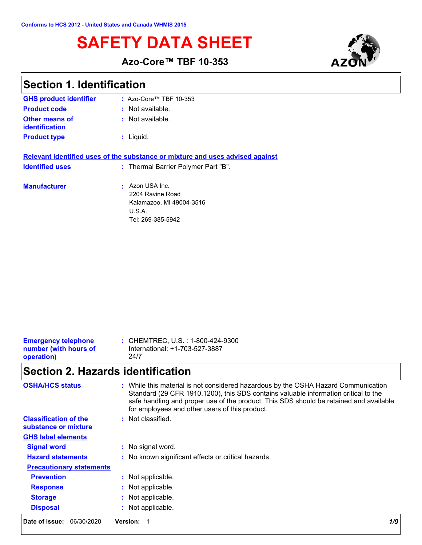# **SAFETY DATA SHEET**





## **Section 1. Identification**

| <b>GHS product identifier</b>    | $:$ Azo-Core™ TBF 10-353                                                                     |
|----------------------------------|----------------------------------------------------------------------------------------------|
| <b>Product code</b>              | : Not available.                                                                             |
| Other means of<br>identification | $:$ Not available.                                                                           |
| <b>Product type</b>              | : Liquid.                                                                                    |
|                                  | Relevant identified uses of the substance or mixture and uses advised against                |
| <b>Identified uses</b>           | : Thermal Barrier Polymer Part "B".                                                          |
| <b>Manufacturer</b>              | Azon USA Inc.<br>2204 Ravine Road<br>Kalamazoo, MI 49004-3516<br>U.S.A.<br>Tel: 269-385-5942 |

| <b>Emergency telephone</b> | : CHEMTREC, U.S. : 1-800-424-9300 |
|----------------------------|-----------------------------------|
| number (with hours of      | International: +1-703-527-3887    |
| operation)                 | 24/7                              |
|                            |                                   |

## **Section 2. Hazards identification**

| <b>OSHA/HCS status</b>                               | : While this material is not considered hazardous by the OSHA Hazard Communication<br>Standard (29 CFR 1910.1200), this SDS contains valuable information critical to the<br>safe handling and proper use of the product. This SDS should be retained and available<br>for employees and other users of this product. |  |
|------------------------------------------------------|-----------------------------------------------------------------------------------------------------------------------------------------------------------------------------------------------------------------------------------------------------------------------------------------------------------------------|--|
| <b>Classification of the</b><br>substance or mixture | : Not classified.                                                                                                                                                                                                                                                                                                     |  |
| <b>GHS label elements</b>                            |                                                                                                                                                                                                                                                                                                                       |  |
| <b>Signal word</b>                                   | : No signal word.                                                                                                                                                                                                                                                                                                     |  |
| <b>Hazard statements</b>                             | : No known significant effects or critical hazards.                                                                                                                                                                                                                                                                   |  |
| <b>Precautionary statements</b>                      |                                                                                                                                                                                                                                                                                                                       |  |
| <b>Prevention</b>                                    | : Not applicable.                                                                                                                                                                                                                                                                                                     |  |
| <b>Response</b>                                      | : Not applicable.                                                                                                                                                                                                                                                                                                     |  |
| <b>Storage</b>                                       | : Not applicable.                                                                                                                                                                                                                                                                                                     |  |
| <b>Disposal</b>                                      | : Not applicable.                                                                                                                                                                                                                                                                                                     |  |
| Date of issue:<br>06/30/2020                         | <b>Version:</b><br>1/9                                                                                                                                                                                                                                                                                                |  |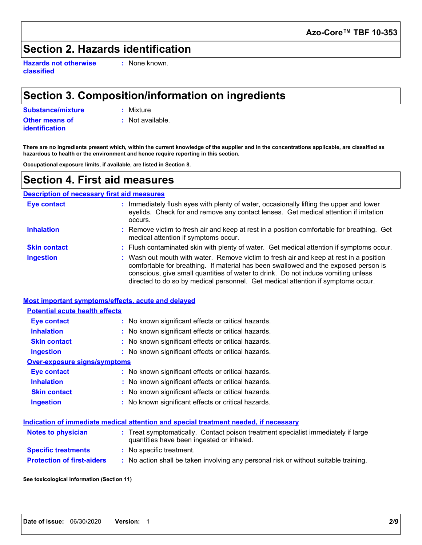### **Section 2. Hazards identification**

**Hazards not otherwise classified**

**:** None known.

## **Section 3. Composition/information on ingredients**

**Substance/mixture :** Mixture

**Other means of identification**

**:** Not available.

**There are no ingredients present which, within the current knowledge of the supplier and in the concentrations applicable, are classified as hazardous to health or the environment and hence require reporting in this section.**

**Occupational exposure limits, if available, are listed in Section 8.**

### **Section 4. First aid measures**

#### **Description of necessary first aid measures**

| <b>Eye contact</b>  | Immediately flush eyes with plenty of water, occasionally lifting the upper and lower<br>eyelids. Check for and remove any contact lenses. Get medical attention if irritation<br>occurs.                                                                                                                                                              |
|---------------------|--------------------------------------------------------------------------------------------------------------------------------------------------------------------------------------------------------------------------------------------------------------------------------------------------------------------------------------------------------|
| <b>Inhalation</b>   | : Remove victim to fresh air and keep at rest in a position comfortable for breathing. Get<br>medical attention if symptoms occur.                                                                                                                                                                                                                     |
| <b>Skin contact</b> | : Flush contaminated skin with plenty of water. Get medical attention if symptoms occur.                                                                                                                                                                                                                                                               |
| <b>Ingestion</b>    | : Wash out mouth with water. Remove victim to fresh air and keep at rest in a position<br>comfortable for breathing. If material has been swallowed and the exposed person is<br>conscious, give small quantities of water to drink. Do not induce vomiting unless<br>directed to do so by medical personnel. Get medical attention if symptoms occur. |

|                                       | Most important symptoms/effects, acute and delayed                                                                             |
|---------------------------------------|--------------------------------------------------------------------------------------------------------------------------------|
| <b>Potential acute health effects</b> |                                                                                                                                |
| <b>Eye contact</b>                    | : No known significant effects or critical hazards.                                                                            |
| <b>Inhalation</b>                     | : No known significant effects or critical hazards.                                                                            |
| <b>Skin contact</b>                   | : No known significant effects or critical hazards.                                                                            |
| <b>Ingestion</b>                      | : No known significant effects or critical hazards.                                                                            |
| <b>Over-exposure signs/symptoms</b>   |                                                                                                                                |
| <b>Eye contact</b>                    | : No known significant effects or critical hazards.                                                                            |
| <b>Inhalation</b>                     | : No known significant effects or critical hazards.                                                                            |
| <b>Skin contact</b>                   | : No known significant effects or critical hazards.                                                                            |
| <b>Ingestion</b>                      | : No known significant effects or critical hazards.                                                                            |
|                                       | Indication of immediate medical attention and special treatment needed, if necessary                                           |
| <b>Notes to physician</b>             | : Treat symptomatically. Contact poison treatment specialist immediately if large<br>quantities have been ingested or inhaled. |

**Specific treatments :** No specific treatment.

**Protection of first-aiders :** No action shall be taken involving any personal risk or without suitable training.

**See toxicological information (Section 11)**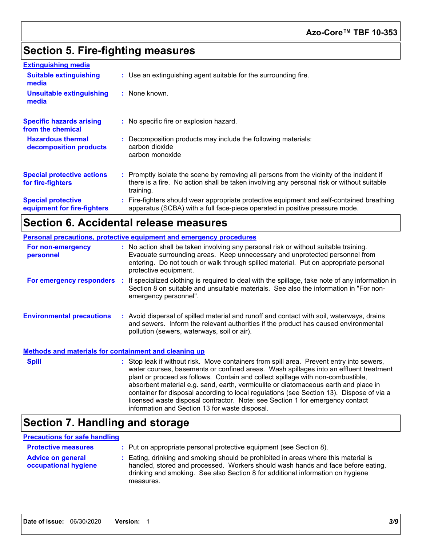## **Section 5. Fire-fighting measures**

| <b>Extinguishing media</b>                               |                                                                                                                                                                                                     |
|----------------------------------------------------------|-----------------------------------------------------------------------------------------------------------------------------------------------------------------------------------------------------|
| <b>Suitable extinguishing</b><br>media                   | : Use an extinguishing agent suitable for the surrounding fire.                                                                                                                                     |
| <b>Unsuitable extinguishing</b><br>media                 | : None known.                                                                                                                                                                                       |
| <b>Specific hazards arising</b><br>from the chemical     | : No specific fire or explosion hazard.                                                                                                                                                             |
| <b>Hazardous thermal</b><br>decomposition products       | : Decomposition products may include the following materials:<br>carbon dioxide<br>carbon monoxide                                                                                                  |
| <b>Special protective actions</b><br>for fire-fighters   | : Promptly isolate the scene by removing all persons from the vicinity of the incident if<br>there is a fire. No action shall be taken involving any personal risk or without suitable<br>training. |
| <b>Special protective</b><br>equipment for fire-fighters | : Fire-fighters should wear appropriate protective equipment and self-contained breathing<br>apparatus (SCBA) with a full face-piece operated in positive pressure mode.                            |

## **Section 6. Accidental release measures**

|                                                              | <b>Personal precautions, protective equipment and emergency procedures</b>                                                                                                                                                                                                                                                                                                                                                                                                                                                                                                                 |
|--------------------------------------------------------------|--------------------------------------------------------------------------------------------------------------------------------------------------------------------------------------------------------------------------------------------------------------------------------------------------------------------------------------------------------------------------------------------------------------------------------------------------------------------------------------------------------------------------------------------------------------------------------------------|
| For non-emergency<br>personnel                               | : No action shall be taken involving any personal risk or without suitable training.<br>Evacuate surrounding areas. Keep unnecessary and unprotected personnel from<br>entering. Do not touch or walk through spilled material. Put on appropriate personal<br>protective equipment.                                                                                                                                                                                                                                                                                                       |
|                                                              | For emergency responders : If specialized clothing is required to deal with the spillage, take note of any information in<br>Section 8 on suitable and unsuitable materials. See also the information in "For non-<br>emergency personnel".                                                                                                                                                                                                                                                                                                                                                |
| <b>Environmental precautions</b>                             | : Avoid dispersal of spilled material and runoff and contact with soil, waterways, drains<br>and sewers. Inform the relevant authorities if the product has caused environmental<br>pollution (sewers, waterways, soil or air).                                                                                                                                                                                                                                                                                                                                                            |
| <b>Methods and materials for containment and cleaning up</b> |                                                                                                                                                                                                                                                                                                                                                                                                                                                                                                                                                                                            |
| <b>Spill</b>                                                 | : Stop leak if without risk. Move containers from spill area. Prevent entry into sewers,<br>water courses, basements or confined areas. Wash spillages into an effluent treatment<br>plant or proceed as follows. Contain and collect spillage with non-combustible,<br>absorbent material e.g. sand, earth, vermiculite or diatomaceous earth and place in<br>container for disposal according to local regulations (see Section 13). Dispose of via a<br>licensed waste disposal contractor. Note: see Section 1 for emergency contact<br>information and Section 13 for waste disposal. |

## **Section 7. Handling and storage**

#### **Precautions for safe handling**

| <b>Protective measures</b>                       | : Put on appropriate personal protective equipment (see Section 8).                                                                                                                                                                                                    |
|--------------------------------------------------|------------------------------------------------------------------------------------------------------------------------------------------------------------------------------------------------------------------------------------------------------------------------|
| <b>Advice on general</b><br>occupational hygiene | : Eating, drinking and smoking should be prohibited in areas where this material is<br>handled, stored and processed. Workers should wash hands and face before eating,<br>drinking and smoking. See also Section 8 for additional information on hygiene<br>measures. |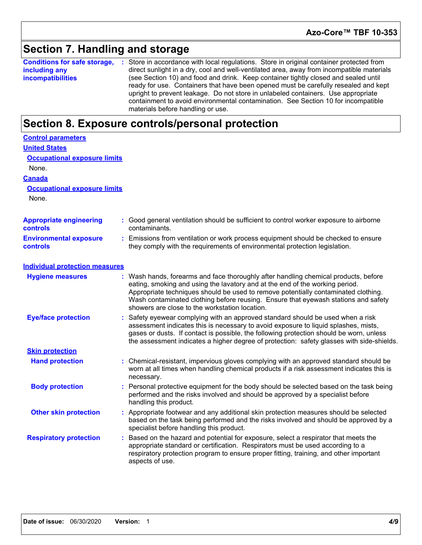### **Section 7. Handling and storage**

**Conditions for safe storage,** : Store in accordance with local regulations. Store in original container protected from **including any incompatibilities** direct sunlight in a dry, cool and well-ventilated area, away from incompatible materials (see Section 10) and food and drink. Keep container tightly closed and sealed until ready for use. Containers that have been opened must be carefully resealed and kept upright to prevent leakage. Do not store in unlabeled containers. Use appropriate containment to avoid environmental contamination. See Section 10 for incompatible materials before handling or use.

### **Section 8. Exposure controls/personal protection**

| <b>Control parameters</b>                  |                                                                                                                                                                                                                                                                                                                                                                                                   |
|--------------------------------------------|---------------------------------------------------------------------------------------------------------------------------------------------------------------------------------------------------------------------------------------------------------------------------------------------------------------------------------------------------------------------------------------------------|
| <b>United States</b>                       |                                                                                                                                                                                                                                                                                                                                                                                                   |
| <b>Occupational exposure limits</b>        |                                                                                                                                                                                                                                                                                                                                                                                                   |
| None.                                      |                                                                                                                                                                                                                                                                                                                                                                                                   |
| <b>Canada</b>                              |                                                                                                                                                                                                                                                                                                                                                                                                   |
| <b>Occupational exposure limits</b>        |                                                                                                                                                                                                                                                                                                                                                                                                   |
| None.                                      |                                                                                                                                                                                                                                                                                                                                                                                                   |
| <b>Appropriate engineering</b><br>controls | : Good general ventilation should be sufficient to control worker exposure to airborne<br>contaminants.                                                                                                                                                                                                                                                                                           |
| <b>Environmental exposure</b><br>controls  | : Emissions from ventilation or work process equipment should be checked to ensure<br>they comply with the requirements of environmental protection legislation.                                                                                                                                                                                                                                  |
| <b>Individual protection measures</b>      |                                                                                                                                                                                                                                                                                                                                                                                                   |
| <b>Hygiene measures</b>                    | : Wash hands, forearms and face thoroughly after handling chemical products, before<br>eating, smoking and using the lavatory and at the end of the working period.<br>Appropriate techniques should be used to remove potentially contaminated clothing.<br>Wash contaminated clothing before reusing. Ensure that eyewash stations and safety<br>showers are close to the workstation location. |
| <b>Eye/face protection</b>                 | Safety eyewear complying with an approved standard should be used when a risk<br>assessment indicates this is necessary to avoid exposure to liquid splashes, mists,<br>gases or dusts. If contact is possible, the following protection should be worn, unless<br>the assessment indicates a higher degree of protection: safety glasses with side-shields.                                      |
| <b>Skin protection</b>                     |                                                                                                                                                                                                                                                                                                                                                                                                   |
| <b>Hand protection</b>                     | Chemical-resistant, impervious gloves complying with an approved standard should be<br>worn at all times when handling chemical products if a risk assessment indicates this is<br>necessary.                                                                                                                                                                                                     |
| <b>Body protection</b>                     | : Personal protective equipment for the body should be selected based on the task being<br>performed and the risks involved and should be approved by a specialist before<br>handling this product.                                                                                                                                                                                               |
| <b>Other skin protection</b>               | : Appropriate footwear and any additional skin protection measures should be selected<br>based on the task being performed and the risks involved and should be approved by a<br>specialist before handling this product.                                                                                                                                                                         |
| <b>Respiratory protection</b>              | Based on the hazard and potential for exposure, select a respirator that meets the<br>appropriate standard or certification. Respirators must be used according to a<br>respiratory protection program to ensure proper fitting, training, and other important<br>aspects of use.                                                                                                                 |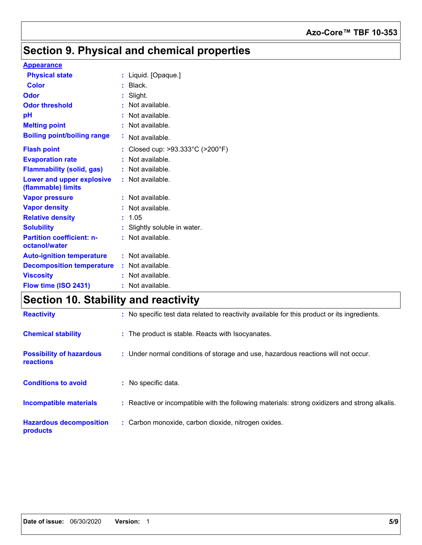### **Azo-Core™ TBF 10-353**

## **Section 9. Physical and chemical properties**

#### **Appearance**

| <b>Physical state</b>                                  |    | : Liquid. [Opaque.]                                 |
|--------------------------------------------------------|----|-----------------------------------------------------|
| <b>Color</b>                                           |    | Black.                                              |
| Odor                                                   |    | Slight.                                             |
| <b>Odor threshold</b>                                  |    | Not available.                                      |
| рH                                                     |    | Not available.                                      |
| <b>Melting point</b>                                   |    | Not available.                                      |
| <b>Boiling point/boiling range</b>                     | ÷. | Not available.                                      |
| <b>Flash point</b>                                     |    | Closed cup: $>93.333^{\circ}$ C ( $>200^{\circ}$ F) |
| <b>Evaporation rate</b>                                |    | Not available.                                      |
| <b>Flammability (solid, gas)</b>                       |    | Not available.                                      |
| <b>Lower and upper explosive</b><br>(flammable) limits |    | : Not available.                                    |
| <b>Vapor pressure</b>                                  |    | Not available.                                      |
| <b>Vapor density</b>                                   |    | Not available.                                      |
| <b>Relative density</b>                                |    | 1.05                                                |
| <b>Solubility</b>                                      |    | : Slightly soluble in water.                        |
| <b>Partition coefficient: n-</b><br>octanol/water      |    | $:$ Not available.                                  |
| <b>Auto-ignition temperature</b>                       |    | $:$ Not available.                                  |
| <b>Decomposition temperature</b>                       |    | $:$ Not available.                                  |
| <b>Viscosity</b>                                       |    | Not available.                                      |
| Flow time (ISO 2431)                                   |    | Not available.                                      |

## **Section 10. Stability and reactivity**

| <b>Reactivity</b>                                   | : No specific test data related to reactivity available for this product or its ingredients.  |
|-----------------------------------------------------|-----------------------------------------------------------------------------------------------|
| <b>Chemical stability</b>                           | : The product is stable. Reacts with Isocyanates.                                             |
| <b>Possibility of hazardous</b><br><b>reactions</b> | : Under normal conditions of storage and use, hazardous reactions will not occur.             |
| <b>Conditions to avoid</b>                          | : No specific data.                                                                           |
| <b>Incompatible materials</b>                       | : Reactive or incompatible with the following materials: strong oxidizers and strong alkalis. |
| <b>Hazardous decomposition</b><br>products          | : Carbon monoxide, carbon dioxide, nitrogen oxides.                                           |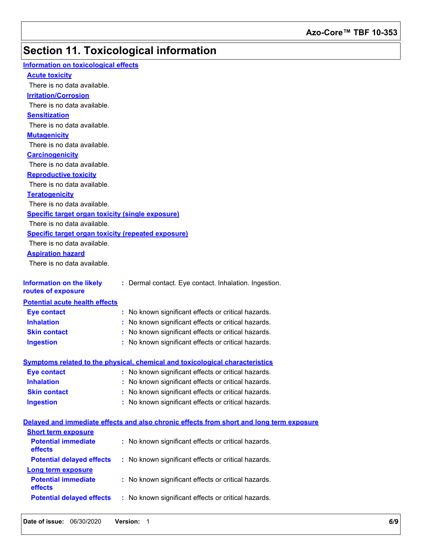## **Section 11. Toxicological information**

| Information on toxicological effects                      |                                                                                          |
|-----------------------------------------------------------|------------------------------------------------------------------------------------------|
| <b>Acute toxicity</b>                                     |                                                                                          |
| There is no data available.                               |                                                                                          |
| <b>Irritation/Corrosion</b>                               |                                                                                          |
| There is no data available.                               |                                                                                          |
| <b>Sensitization</b>                                      |                                                                                          |
| There is no data available.                               |                                                                                          |
| <b>Mutagenicity</b>                                       |                                                                                          |
| There is no data available.                               |                                                                                          |
| <b>Carcinogenicity</b>                                    |                                                                                          |
| There is no data available.                               |                                                                                          |
| <b>Reproductive toxicity</b>                              |                                                                                          |
| There is no data available.                               |                                                                                          |
| <b>Teratogenicity</b>                                     |                                                                                          |
| There is no data available.                               |                                                                                          |
| <b>Specific target organ toxicity (single exposure)</b>   |                                                                                          |
| There is no data available.                               |                                                                                          |
| <b>Specific target organ toxicity (repeated exposure)</b> |                                                                                          |
| There is no data available.                               |                                                                                          |
| <b>Aspiration hazard</b>                                  |                                                                                          |
| There is no data available.                               |                                                                                          |
|                                                           |                                                                                          |
| <b>Information on the likely</b><br>routes of exposure    | : Dermal contact. Eye contact. Inhalation. Ingestion.                                    |
| <b>Potential acute health effects</b>                     |                                                                                          |
| <b>Eye contact</b>                                        | : No known significant effects or critical hazards.                                      |
| <b>Inhalation</b>                                         | : No known significant effects or critical hazards.                                      |
| <b>Skin contact</b>                                       | : No known significant effects or critical hazards.                                      |
| <b>Ingestion</b>                                          | : No known significant effects or critical hazards.                                      |
|                                                           | Symptoms related to the physical, chemical and toxicological characteristics             |
| <b>Eye contact</b>                                        | : No known significant effects or critical hazards.                                      |
| <b>Inhalation</b>                                         | : No known significant effects or critical hazards.                                      |
| <b>Skin contact</b>                                       | : No known significant effects or critical hazards.                                      |
| <b>Ingestion</b>                                          | : No known significant effects or critical hazards.                                      |
|                                                           |                                                                                          |
|                                                           | Delayed and immediate effects and also chronic effects from short and long term exposure |
| <b>Short term exposure</b>                                |                                                                                          |
| <b>Potential immediate</b><br>effects                     | : No known significant effects or critical hazards.                                      |
| <b>Potential delayed effects</b>                          | : No known significant effects or critical hazards.                                      |
| <b>Long term exposure</b>                                 |                                                                                          |
| <b>Potential immediate</b><br>effects                     | : No known significant effects or critical hazards.                                      |
| <b>Potential delayed effects</b>                          | : No known significant effects or critical hazards.                                      |
|                                                           |                                                                                          |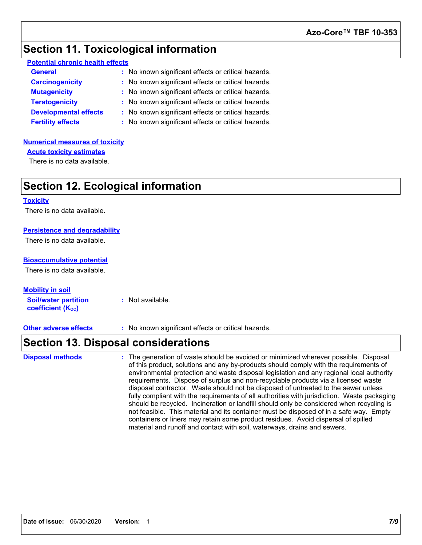### **Section 11. Toxicological information**

| <b>Potential chronic health effects</b> |
|-----------------------------------------|
|-----------------------------------------|

| <b>General</b>               | : No known significant effects or critical hazards. |
|------------------------------|-----------------------------------------------------|
| <b>Carcinogenicity</b>       | : No known significant effects or critical hazards. |
| <b>Mutagenicity</b>          | : No known significant effects or critical hazards. |
| <b>Teratogenicity</b>        | : No known significant effects or critical hazards. |
| <b>Developmental effects</b> | : No known significant effects or critical hazards. |
| <b>Fertility effects</b>     | : No known significant effects or critical hazards. |

#### **Numerical measures of toxicity**

**Acute toxicity estimates**

There is no data available.

### **Section 12. Ecological information**

#### **Toxicity**

There is no data available.

#### **Persistence and degradability**

There is no data available.

#### **Bioaccumulative potential**

There is no data available.

**Soil/water partition coefficient (KOC) :** Not available. **Mobility in soil**

**Other adverse effects** : No known significant effects or critical hazards.

### **Section 13. Disposal considerations**

The generation of waste should be avoided or minimized wherever possible. Disposal of this product, solutions and any by-products should comply with the requirements of environmental protection and waste disposal legislation and any regional local authority requirements. Dispose of surplus and non-recyclable products via a licensed waste disposal contractor. Waste should not be disposed of untreated to the sewer unless fully compliant with the requirements of all authorities with jurisdiction. Waste packaging should be recycled. Incineration or landfill should only be considered when recycling is not feasible. This material and its container must be disposed of in a safe way. Empty containers or liners may retain some product residues. Avoid dispersal of spilled material and runoff and contact with soil, waterways, drains and sewers. **Disposal methods :**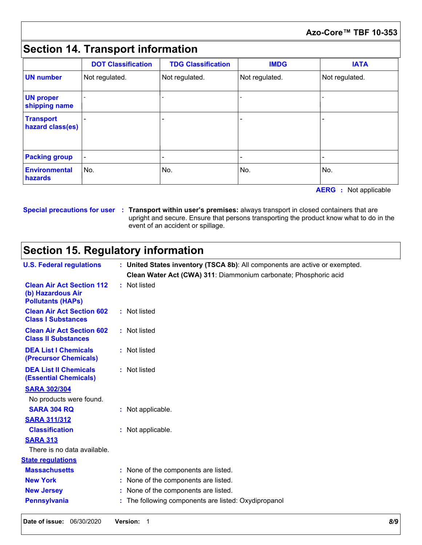#### **Azo-Core™ TBF 10-353**

## **Section 14. Transport information**

|                                      | <b>DOT Classification</b> | <b>TDG Classification</b> | <b>IMDG</b>    | <b>IATA</b>    |
|--------------------------------------|---------------------------|---------------------------|----------------|----------------|
| <b>UN</b> number                     | Not regulated.            | Not regulated.            | Not regulated. | Not regulated. |
| <b>UN proper</b><br>shipping name    |                           |                           |                |                |
| <b>Transport</b><br>hazard class(es) |                           |                           |                |                |
| <b>Packing group</b>                 |                           |                           |                |                |
| <b>Environmental</b><br>hazards      | No.                       | No.                       | No.            | No.            |

**AERG :** Not applicable

#### **Special precautions for user Transport within user's premises:** always transport in closed containers that are **:** upright and secure. Ensure that persons transporting the product know what to do in the event of an accident or spillage.

### **Section 15. Regulatory information**

|                                                                                   | upright and secure. Ensure that persons transporting the product know what to do in the<br>event of an accident or spillage. |  |  |
|-----------------------------------------------------------------------------------|------------------------------------------------------------------------------------------------------------------------------|--|--|
| <b>Section 15. Regulatory information</b>                                         |                                                                                                                              |  |  |
| <b>U.S. Federal regulations</b>                                                   | : United States inventory (TSCA 8b): All components are active or exempted.                                                  |  |  |
|                                                                                   | Clean Water Act (CWA) 311: Diammonium carbonate; Phosphoric acid                                                             |  |  |
| <b>Clean Air Act Section 112</b><br>(b) Hazardous Air<br><b>Pollutants (HAPs)</b> | : Not listed                                                                                                                 |  |  |
| <b>Clean Air Act Section 602</b><br><b>Class I Substances</b>                     | : Not listed                                                                                                                 |  |  |
| <b>Clean Air Act Section 602</b><br><b>Class II Substances</b>                    | : Not listed                                                                                                                 |  |  |
| <b>DEA List I Chemicals</b><br>(Precursor Chemicals)                              | : Not listed                                                                                                                 |  |  |
| <b>DEA List II Chemicals</b><br><b>(Essential Chemicals)</b>                      | : Not listed                                                                                                                 |  |  |
| <b>SARA 302/304</b>                                                               |                                                                                                                              |  |  |
| No products were found.                                                           |                                                                                                                              |  |  |
| <b>SARA 304 RQ</b>                                                                | : Not applicable.                                                                                                            |  |  |
| <b>SARA 311/312</b>                                                               |                                                                                                                              |  |  |
| <b>Classification</b>                                                             | : Not applicable.                                                                                                            |  |  |
| <b>SARA 313</b>                                                                   |                                                                                                                              |  |  |
| There is no data available.                                                       |                                                                                                                              |  |  |
| <b>State requlations</b>                                                          |                                                                                                                              |  |  |
| <b>Massachusetts</b>                                                              | : None of the components are listed.                                                                                         |  |  |
| <b>New York</b>                                                                   | None of the components are listed.                                                                                           |  |  |
| <b>New Jersey</b>                                                                 | None of the components are listed.                                                                                           |  |  |
| <b>Pennsylvania</b>                                                               | The following components are listed: Oxydipropanol                                                                           |  |  |